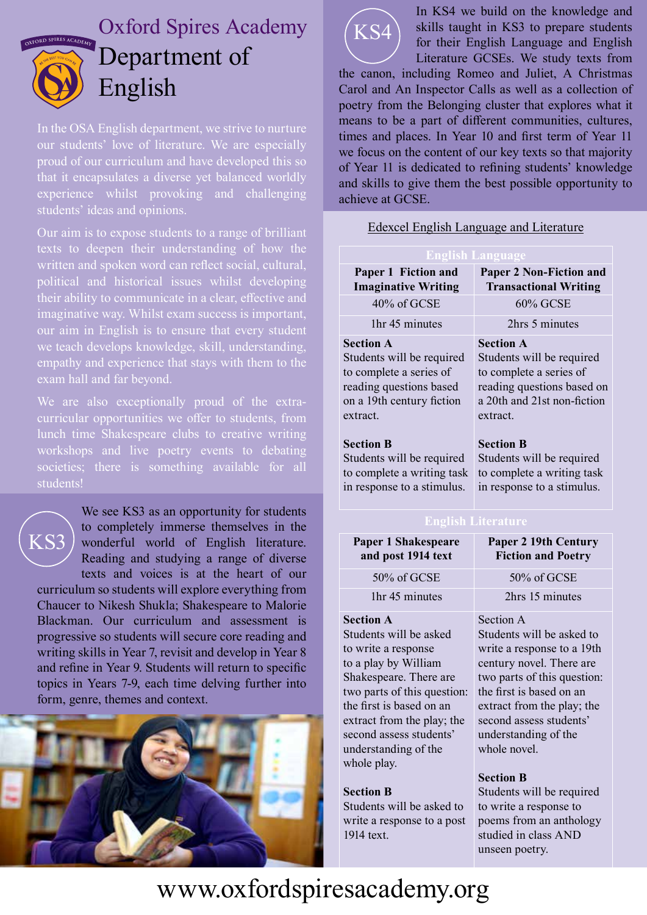

## Oxford Spires Academy Department of English

In the OSA English department, we strive to nurture our students' love of literature. We are especially proud of our curriculum and have developed this so that it encapsulates a diverse yet balanced worldly experience whilst provoking and challenging

Our aim is to expose students to a range of brilliant texts to deepen their understanding of how the written and spoken word can reflect social, cultural, political and historical issues whilst developing their ability to communicate in a clear, effective and imaginative way. Whilst exam success is important, our aim in English is to ensure that every student we teach develops knowledge, skill, understanding, empathy and experience that stays with them to the exam hall and far beyond.

We are also exceptionally proud of the extracurricular opportunities we offer to students, from lunch time Shakespeare clubs to creative writing workshops and live poetry events to debating societies; there is something available for all students!



We see KS3 as an opportunity for students to completely immerse themselves in the wonderful world of English literature. Reading and studying a range of diverse texts and voices is at the heart of our curriculum so students will explore everything from Chaucer to Nikesh Shukla; Shakespeare to Malorie Blackman. Our curriculum and assessment is progressive so students will secure core reading and

writing skills in Year 7, revisit and develop in Year 8 and refine in Year 9. Students will return to specific topics in Years 7-9, each time delving further into form, genre, themes and context.





In KS4 we build on the knowledge and skills taught in KS3 to prepare students for their English Language and English Literature GCSEs. We study texts from

the canon, including Romeo and Juliet, A Christmas Carol and An Inspector Calls as well as a collection of poetry from the Belonging cluster that explores what it means to be a part of different communities, cultures, times and places. In Year 10 and first term of Year 11 we focus on the content of our key texts so that majority of Year 11 is dedicated to refining students' knowledge and skills to give them the best possible opportunity to achieve at GCSE.

|  | <b>Edexcel English Language and Literature</b> |
|--|------------------------------------------------|
|  |                                                |

| <b>English Language</b>     |                                |  |  |
|-----------------------------|--------------------------------|--|--|
| Paper 1 Fiction and         | <b>Paper 2 Non-Fiction and</b> |  |  |
| <b>Imaginative Writing</b>  | <b>Transactional Writing</b>   |  |  |
| 40% of GCSE                 | <b>60% GCSE</b>                |  |  |
| 1hr 45 minutes              | 2hrs 5 minutes                 |  |  |
| <b>Section A</b>            | <b>Section A</b>               |  |  |
| Students will be required   | Students will be required      |  |  |
| to complete a series of     | to complete a series of        |  |  |
| reading questions based     | reading questions based on     |  |  |
| on a 19th century fiction   | a 20th and 21st non-fiction    |  |  |
| extract.                    | extract.                       |  |  |
| <b>Section B</b>            | <b>Section B</b>               |  |  |
| Students will be required   | Students will be required      |  |  |
| to complete a writing task  | to complete a writing task     |  |  |
| in response to a stimulus.  | in response to a stimulus.     |  |  |
| <b>English Literature</b>   |                                |  |  |
| <b>Paper 1 Shakespeare</b>  | <b>Paper 2 19th Century</b>    |  |  |
| and post 1914 text          | <b>Fiction and Poetry</b>      |  |  |
| 50% of GCSE                 | 50% of GCSE                    |  |  |
| 1hr 45 minutes              | 2hrs 15 minutes                |  |  |
| <b>Section A</b>            | Section A                      |  |  |
| Students will be asked      | Students will be asked to      |  |  |
| to write a response         | write a response to a 19th     |  |  |
| to a play by William        | century novel. There are       |  |  |
| Shakespeare. There are      | two parts of this question:    |  |  |
| two parts of this question: | the first is based on an       |  |  |
| the first is based on an    | extract from the play; the     |  |  |
| extract from the play; the  | second assess students'        |  |  |
| second assess students'     | understanding of the           |  |  |
| understanding of the        | whole novel.                   |  |  |
| whole play.                 | <b>Section B</b>               |  |  |
| <b>Section B</b>            | Students will be required      |  |  |
| Students will be asked to   | to write a response to         |  |  |
| write a response to a post  | poems from an anthology        |  |  |

studied in class AND

unseen poetry.

## www.oxfordspiresacademy.org

1914 text.